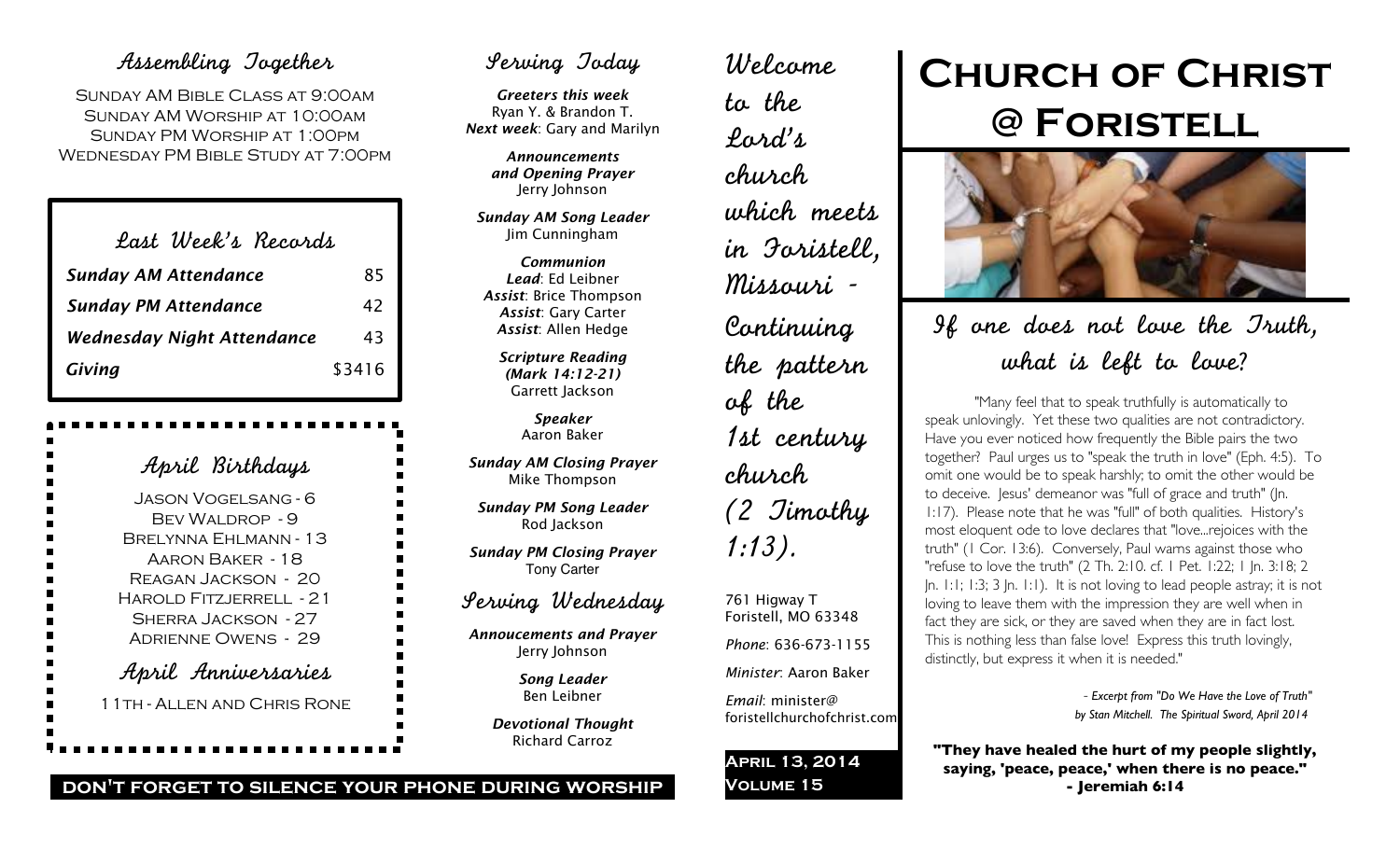## Assembling Together

SUNDAY AM BIBLE CLASS AT 9:00AM Sunday AM Worship at 10:00am Sunday PM Worship at 1:00pm Wednesday PM Bible Study at 7:00pm

| Last Week's Recards               |        |
|-----------------------------------|--------|
| <b>Sunday AM Attendance</b>       | 85     |
| <b>Sunday PM Attendance</b>       | 42     |
| <b>Wednesday Night Attendance</b> | 43     |
| Giving                            | \$3416 |

April Birthdays Jason Vogelsang - 6 BEV WALDROP - 9 Brelynna Ehlmann - 13 Aaron Baker - 18 Reagan Jackson - 20 Harold Fitzjerrell - 21 Sherra Jackson - 27 Adrienne Owens - 29 April Anniversaries 11th - Allen and Chris Rone

## Serving Today

*Greeters this week* Ryan Y. & Brandon T. *Next week*: Gary and Marilyn

> *Announcements and Opening Prayer* Jerry Johnson

*Sunday AM Song Leader* Jim Cunningham

*Communion Lead*: Ed Leibner *Assist*: Brice Thompson *Assist*: Gary Carter *Assist*: Allen Hedge

> *Scripture Reading (Mark 14:12-21)* Garrett Jackson

> > *Speaker* Aaron Baker

*Sunday AM Closing Prayer* Mike Thompson

*Sunday PM Song Leader* Rod Jackson

*Sunday PM Closing Prayer* Tony Carter

## Serving Wednesday

*Annoucements and Prayer* Jerry Johnson

> *Song Leader* Ben Leibner

*Devotional Thought* Richard Carroz

Welcome to the Lord's church which meets in Foristell, Missouri - Continuing the pattern of the 1st century church (2 Timothy 1:13).

761 Higway T Foristell, MO 63348 *Phone*: 636-673-1155 *Minister*: Aaron Baker

*Email*: minister@ foristellchurchofchrist.com

**April 13, 2014 Volume 15**

# **Church of Christ @ Foristell**



If one does not love the Truth, what is left to love?

"Many feel that to speak truthfully is automatically to speak unlovingly. Yet these two qualities are not contradictory. Have you ever noticed how frequently the Bible pairs the two together? Paul urges us to "speak the truth in love" (Eph. 4:5). To omit one would be to speak harshly; to omit the other would be to deceive. Jesus' demeanor was "full of grace and truth" (Jn. 1:17). Please note that he was "full" of both qualities. History's most eloquent ode to love declares that "love...rejoices with the truth" (1 Cor. 13:6). Conversely, Paul warns against those who "refuse to love the truth" (2 Th. 2:10. cf. 1 Pet. 1:22; 1 Jn. 3:18; 2 Jn. 1:1; 1:3; 3 Jn. 1:1). It is not loving to lead people astray; it is not loving to leave them with the impression they are well when in fact they are sick, or they are saved when they are in fact lost. This is nothing less than false love! Express this truth lovingly, distinctly, but express it when it is needed."

> - *Excerpt from "Do We Have the Love of Truth" by Stan Mitchell. The Spiritual Sword, April 2014*

**"They have healed the hurt of my people slightly, saying, 'peace, peace,' when there is no peace." - Jeremiah 6:14**

### **don't forget to silence your phone during worship**